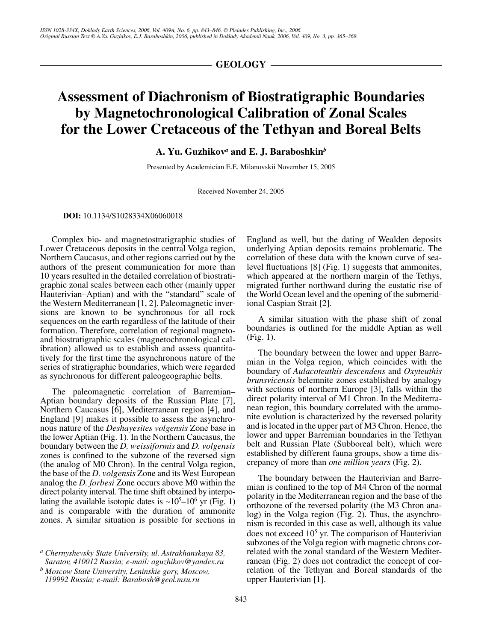$=$  GEOLOGY  $=$ 

## **Assessment of Diachronism of Biostratigraphic Boundaries by Magnetochronological Calibration of Zonal Scales for the Lower Cretaceous of the Tethyan and Boreal Belts**

**A. Yu. Guzhikov***<sup>a</sup>*  **and E. J. Baraboshkin***<sup>b</sup>*

Presented by Academician E.E. Milanovskii November 15, 2005

Received November 24, 2005

**DOI:** 10.1134/S1028334X06060018

Complex bio- and magnetostratigraphic studies of Lower Cretaceous deposits in the central Volga region, Northern Caucasus, and other regions carried out by the authors of the present communication for more than 10 years resulted in the detailed correlation of biostratigraphic zonal scales between each other (mainly upper Hauterivian–Aptian) and with the "standard" scale of the Western Mediterranean [1, 2]. Paleomagnetic inversions are known to be synchronous for all rock sequences on the earth regardless of the latitude of their formation. Therefore, correlation of regional magnetoand biostratigraphic scales (magnetochronological calibration) allowed us to establish and assess quantitatively for the first time the asynchronous nature of the series of stratigraphic boundaries, which were regarded as synchronous for different paleogeographic belts.

The paleomagnetic correlation of Barremian– Aptian boundary deposits of the Russian Plate [7], Northern Caucasus [6], Mediterranean region [4], and England [9] makes it possible to assess the asynchronous nature of the *Deshayesites volgensis* Zone base in the lower Aptian (Fig. 1). In the Northern Caucasus, the boundary between the *D. weissiformis* and *D. volgensis* zones is confined to the subzone of the reversed sign (the analog of M0 Chron). In the central Volga region, the base of the *D. volgensis* Zone and its West European analog the *D. forbesi* Zone occurs above M0 within the direct polarity interval. The time shift obtained by interpolating the available isotopic dates is  $\sim 10^5 - 10^6$  yr (Fig. 1) and is comparable with the duration of ammonite zones. A similar situation is possible for sections in England as well, but the dating of Wealden deposits underlying Aptian deposits remains problematic. The correlation of these data with the known curve of sealevel fluctuations [8] (Fig. 1) suggests that ammonites, which appeared at the northern margin of the Tethys, migrated further northward during the eustatic rise of the World Ocean level and the opening of the submeridional Caspian Strait [2].

A similar situation with the phase shift of zonal boundaries is outlined for the middle Aptian as well (Fig. 1).

The boundary between the lower and upper Barremian in the Volga region, which coincides with the boundary of *Aulacoteuthis descendens* and *Oxyteuthis brunsvicensis* belemnite zones established by analogy with sections of northern Europe [3], falls within the direct polarity interval of M1 Chron. In the Mediterranean region, this boundary correlated with the ammonite evolution is characterized by the reversed polarity and is located in the upper part of M3 Chron. Hence, the lower and upper Barremian boundaries in the Tethyan belt and Russian Plate (Subboreal belt), which were established by different fauna groups, show a time discrepancy of more than *one million years* (Fig. 2).

The boundary between the Hauterivian and Barremian is confined to the top of M4 Chron of the normal polarity in the Mediterranean region and the base of the orthozone of the reversed polarity (the M3 Chron analog) in the Volga region (Fig. 2). Thus, the asynchronism is recorded in this case as well, although its value does not exceed 10<sup>5</sup> yr. The comparison of Hauterivian subzones of the Volga region with magnetic chrons correlated with the zonal standard of the Western Mediterranean (Fig. 2) does not contradict the concept of correlation of the Tethyan and Boreal standards of the upper Hauterivian [1].

*a Chernyshevsky State University, ul. Astrakhanskaya 83, Saratov, 410012 Russia; e-mail: aguzhikov@yandex.ru*

*b Moscow State University, Leninskie gory, Moscow, 119992 Russia; e-mail: Barabosh@geol.msu.ru*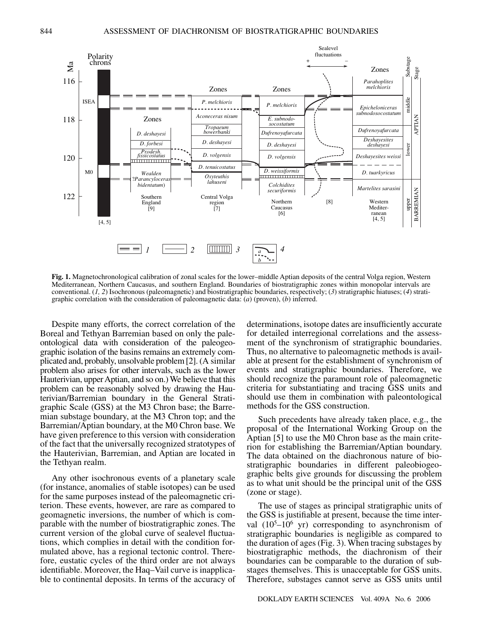

**Fig. 1.** Magnetochronological calibration of zonal scales for the lower–middle Aptian deposits of the central Volga region, Western Mediterranean, Northern Caucasus, and southern England. Boundaries of biostratigraphic zones within monopolar intervals are conventional. (*1, 2*) Isochronous (paleomagnetic) and biostratigraphic boundaries, respectively; (*3*) stratigraphic hiatuses; (*4*) stratigraphic correlation with the consideration of paleomagnetic data: (*a*) (proven), (*b*) inferred.

Despite many efforts, the correct correlation of the Boreal and Tethyan Barremian based on only the paleontological data with consideration of the paleogeographic isolation of the basins remains an extremely complicated and, probably, unsolvable problem [2]. (A similar problem also arises for other intervals, such as the lower Hauterivian, upper Aptian, and so on.) We believe that this problem can be reasonably solved by drawing the Hauterivian/Barremian boundary in the General Stratigraphic Scale (GSS) at the M3 Chron base; the Barremian substage boundary, at the M3 Chron top; and the Barremian/Aptian boundary, at the M0 Chron base. We have given preference to this version with consideration of the fact that the universally recognized stratotypes of the Hauterivian, Barremian, and Aptian are located in the Tethyan realm.

Any other isochronous events of a planetary scale (for instance, anomalies of stable isotopes) can be used for the same purposes instead of the paleomagnetic criterion. These events, however, are rare as compared to geomagnetic inversions, the number of which is comparable with the number of biostratigraphic zones. The current version of the global curve of sealevel fluctuations, which complies in detail with the condition formulated above, has a regional tectonic control. Therefore, eustatic cycles of the third order are not always identifiable. Moreover, the Haq–Vail curve is inapplicable to continental deposits. In terms of the accuracy of determinations, isotope dates are insufficiently accurate for detailed interregional correlations and the assessment of the synchronism of stratigraphic boundaries. Thus, no alternative to paleomagnetic methods is available at present for the establishment of synchronism of events and stratigraphic boundaries. Therefore, we should recognize the paramount role of paleomagnetic criteria for substantiating and tracing GSS units and should use them in combination with paleontological methods for the GSS construction.

Such precedents have already taken place, e.g., the proposal of the International Working Group on the Aptian [5] to use the M0 Chron base as the main criterion for establishing the Barremian/Aptian boundary. The data obtained on the diachronous nature of biostratigraphic boundaries in different paleobiogeographic belts give grounds for discussing the problem as to what unit should be the principal unit of the GSS (zone or stage).

The use of stages as principal stratigraphic units of the GSS is justifiable at present, because the time interval  $(10^5 - 10^6$  yr) corresponding to asynchronism of stratigraphic boundaries is negligible as compared to the duration of ages (Fig. 3). When tracing substages by biostratigraphic methods, the diachronism of their boundaries can be comparable to the duration of substages themselves. This is unacceptable for GSS units. Therefore, substages cannot serve as GSS units until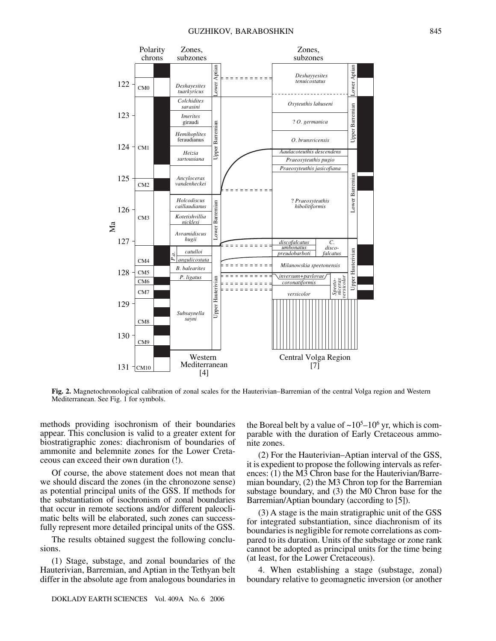

**Fig. 2.** Magnetochronological calibration of zonal scales for the Hauterivian–Barremian of the central Volga region and Western Mediterranean. See Fig. 1 for symbols.

methods providing isochronism of their boundaries appear. This conclusion is valid to a greater extent for biostratigraphic zones: diachronism of boundaries of ammonite and belemnite zones for the Lower Cretaceous can exceed their own duration (!).

Of course, the above statement does not mean that we should discard the zones (in the chronozone sense) as potential principal units of the GSS. If methods for the substantiation of isochronism of zonal boundaries that occur in remote sections and/or different paleoclimatic belts will be elaborated, such zones can successfully represent more detailed principal units of the GSS.

The results obtained suggest the following conclusions.

(1) Stage, substage, and zonal boundaries of the Hauterivian, Barremian, and Aptian in the Tethyan belt differ in the absolute age from analogous boundaries in

the Boreal belt by a value of  $\sim 10^5 - 10^6$  yr, which is comparable with the duration of Early Cretaceous ammonite zones.

(2) For the Hauterivian–Aptian interval of the GSS, it is expedient to propose the following intervals as references: (1) the M3 Chron base for the Hauterivian/Barremian boundary, (2) the M3 Chron top for the Barremian substage boundary, and (3) the M0 Chron base for the Barremian/Aptian boundary (according to [5]).

(3) A stage is the main stratigraphic unit of the GSS for integrated substantiation, since diachronism of its boundaries is negligible for remote correlations as compared to its duration. Units of the substage or zone rank cannot be adopted as principal units for the time being (at least, for the Lower Cretaceous).

4. When establishing a stage (substage, zonal) boundary relative to geomagnetic inversion (or another